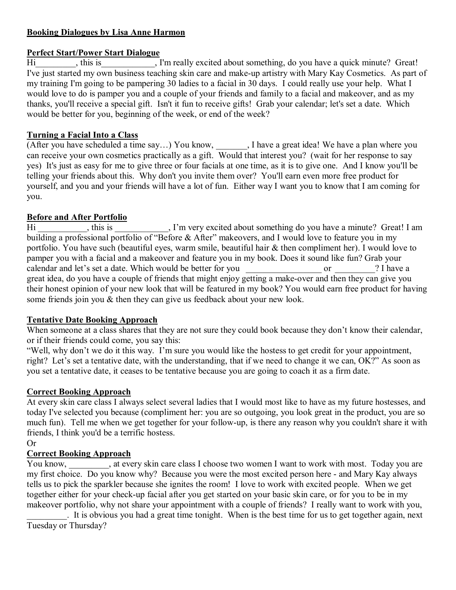# **Booking Dialogues by Lisa Anne Harmon**

## **Perfect Start/Power Start Dialogue**

Hi
therefore, this is  $\overline{J}$ , this is  $\overline{J}$ , I'm really excited about something, do you have a quick minute? Great! I've just started my own business teaching skin care and make-up artistry with Mary Kay Cosmetics. As part of my training I'm going to be pampering 30 ladies to a facial in 30 days. I could really use your help. What I would love to do is pamper you and a couple of your friends and family to a facial and makeover, and as my thanks, you'll receive a special gift. Isn't it fun to receive gifts! Grab your calendar; let's set a date. Which would be better for you, beginning of the week, or end of the week?

# **Turning a Facial Into a Class**

(After you have scheduled a time say…) You know, \_\_\_\_\_\_\_, I have a great idea! We have a plan where you can receive your own cosmetics practically as a gift. Would that interest you? (wait for her response to say yes) It's just as easy for me to give three or four facials at one time, as it is to give one. And I know you'll be telling your friends about this. Why don't you invite them over? You'll earn even more free product for yourself, and you and your friends will have a lot of fun. Either way I want you to know that I am coming for you.

# **Before and After Portfolio**

Hi \_\_\_\_\_\_\_\_\_, this is \_\_\_\_\_\_\_\_\_, I'm very excited about something do you have a minute? Great! I am building a professional portfolio of "Before & After" makeovers, and I would love to feature you in my portfolio. You have such (beautiful eyes, warm smile, beautiful hair & then compliment her). I would love to pamper you with a facial and a makeover and feature you in my book. Does it sound like fun? Grab your calendar and let's set a date. Which would be better for you \_\_\_\_\_\_\_\_\_\_\_\_\_\_\_\_\_ or \_\_\_\_\_\_\_\_\_? I have a great idea, do you have a couple of friends that might enjoy getting a make-over and then they can give you their honest opinion of your new look that will be featured in my book? You would earn free product for having some friends join you & then they can give us feedback about your new look.

## **Tentative Date Booking Approach**

When someone at a class shares that they are not sure they could book because they don't know their calendar, or if their friends could come, you say this:

"Well, why don't we do it this way. I'm sure you would like the hostess to get credit for your appointment, right? Let's set a tentative date, with the understanding, that if we need to change it we can, OK?" As soon as you set a tentative date, it ceases to be tentative because you are going to coach it as a firm date.

## **Correct Booking Approach**

At every skin care class I always select several ladies that I would most like to have as my future hostesses, and today I've selected you because (compliment her: you are so outgoing, you look great in the product, you are so much fun). Tell me when we get together for your follow-up, is there any reason why you couldn't share it with friends, I think you'd be a terrific hostess.

Or

# **Correct Booking Approach**

You know, at every skin care class I choose two women I want to work with most. Today you are my first choice. Do you know why? Because you were the most excited person here - and Mary Kay always tells us to pick the sparkler because she ignites the room! I love to work with excited people. When we get together either for your check-up facial after you get started on your basic skin care, or for you to be in my makeover portfolio, why not share your appointment with a couple of friends? I really want to work with you,

\_\_\_\_\_\_\_\_\_. It is obvious you had a great time tonight. When is the best time for us to get together again, next Tuesday or Thursday?